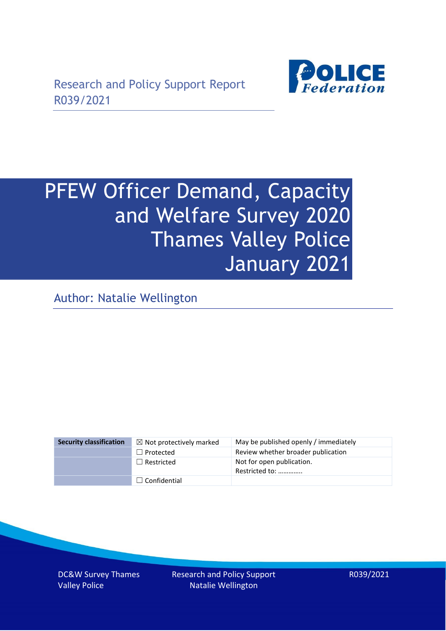

# PFEW Officer Demand, Capacity and Welfare Survey 2020 Thames Valley Police January 2021

Author: Natalie Wellington

| <b>Security classification</b> | $\boxtimes$ Not protectively marked | May be published openly / immediately       |
|--------------------------------|-------------------------------------|---------------------------------------------|
|                                | $\Box$ Protected                    | Review whether broader publication          |
|                                | $\Box$ Restricted                   | Not for open publication.<br>Restricted to: |
|                                | $\Box$ Confidential                 |                                             |

DC&W Survey Thames Valley Police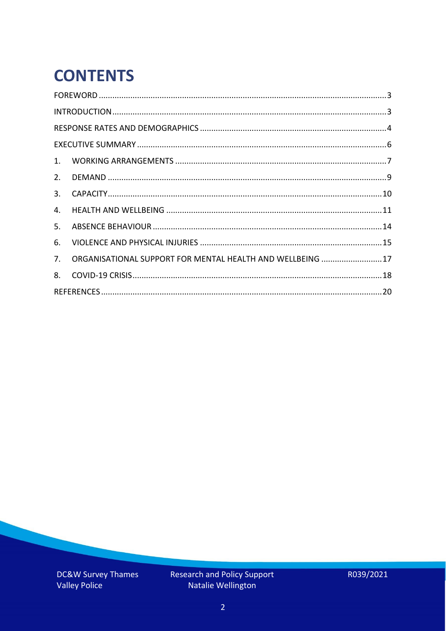# **CONTENTS**

| 4.          |                                                            |  |
|-------------|------------------------------------------------------------|--|
| 5.          |                                                            |  |
| 6.          |                                                            |  |
| $7_{\cdot}$ | ORGANISATIONAL SUPPORT FOR MENTAL HEALTH AND WELLBEING  17 |  |
| 8.          |                                                            |  |
|             |                                                            |  |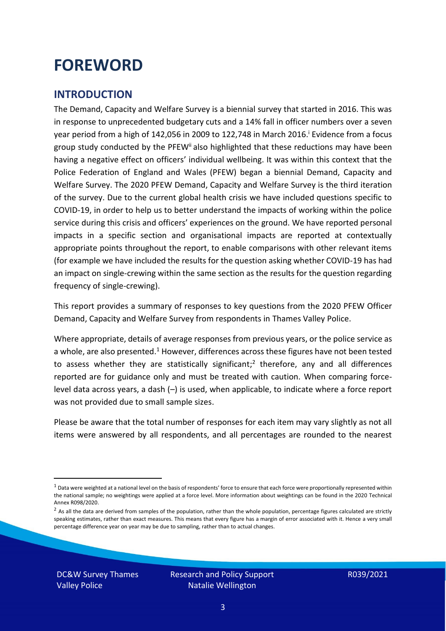### <span id="page-2-0"></span>**FOREWORD**

### <span id="page-2-1"></span>**INTRODUCTION**

The Demand, Capacity and Welfare Survey is a biennial survey that started in 2016. This was in response to unprecedented budgetary cuts and a 14% fall in officer numbers over a seven year period from a high of 142,056 in 2009 to 122,748 in March 2016. <sup>i</sup> Evidence from a focus group study conducted by the PFEW<sup>ii</sup> also highlighted that these reductions may have been having a negative effect on officers' individual wellbeing. It was within this context that the Police Federation of England and Wales (PFEW) began a biennial Demand, Capacity and Welfare Survey. The 2020 PFEW Demand, Capacity and Welfare Survey is the third iteration of the survey. Due to the current global health crisis we have included questions specific to COVID-19, in order to help us to better understand the impacts of working within the police service during this crisis and officers' experiences on the ground. We have reported personal impacts in a specific section and organisational impacts are reported at contextually appropriate points throughout the report, to enable comparisons with other relevant items (for example we have included the results for the question asking whether COVID-19 has had an impact on single-crewing within the same section as the results for the question regarding frequency of single-crewing).

This report provides a summary of responses to key questions from the 2020 PFEW Officer Demand, Capacity and Welfare Survey from respondents in Thames Valley Police.

Where appropriate, details of average responses from previous years, or the police service as a whole, are also presented.<sup>1</sup> However, differences across these figures have not been tested to assess whether they are statistically significant;<sup>2</sup> therefore, any and all differences reported are for guidance only and must be treated with caution. When comparing forcelevel data across years, a dash (–) is used, when applicable, to indicate where a force report was not provided due to small sample sizes.

Please be aware that the total number of responses for each item may vary slightly as not all items were answered by all respondents, and all percentages are rounded to the nearest

DC&W Survey Thames Valley Police

 $1$  Data were weighted at a national level on the basis of respondents' force to ensure that each force were proportionally represented within the national sample; no weightings were applied at a force level. More information about weightings can be found in the 2020 Technical Annex R098/2020.

 $2$  As all the data are derived from samples of the population, rather than the whole population, percentage figures calculated are strictly speaking estimates, rather than exact measures. This means that every figure has a margin of error associated with it. Hence a very small percentage difference year on year may be due to sampling, rather than to actual changes.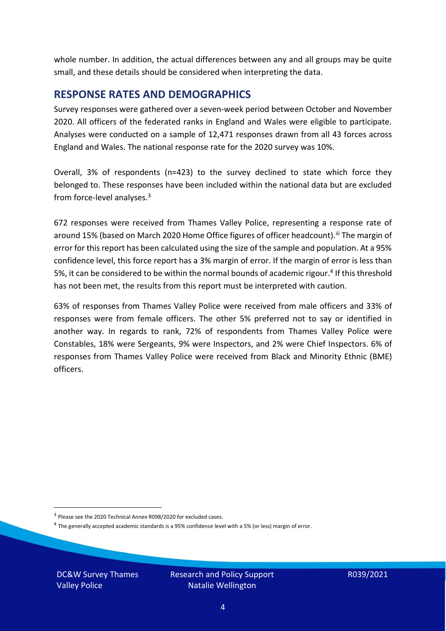whole number. In addition, the actual differences between any and all groups may be quite small, and these details should be considered when interpreting the data.

#### <span id="page-3-0"></span>**RESPONSE RATES AND DEMOGRAPHICS**

Survey responses were gathered over a seven-week period between October and November 2020. All officers of the federated ranks in England and Wales were eligible to participate. Analyses were conducted on a sample of 12,471 responses drawn from all 43 forces across England and Wales. The national response rate for the 2020 survey was 10%.

Overall, 3% of respondents (n=423) to the survey declined to state which force they belonged to. These responses have been included within the national data but are excluded from force-level analyses.<sup>3</sup>

672 responses were received from Thames Valley Police, representing a response rate of around 15% (based on March 2020 Home Office figures of officer headcount).<sup>iii</sup> The margin of error for this report has been calculated using the size of the sample and population. At a 95% confidence level, this force report has a 3% margin of error. If the margin of error is less than 5%, it can be considered to be within the normal bounds of academic rigour.<sup>4</sup> If this threshold has not been met, the results from this report must be interpreted with caution.

63% of responses from Thames Valley Police were received from male officers and 33% of responses were from female officers. The other 5% preferred not to say or identified in another way. In regards to rank, 72% of respondents from Thames Valley Police were Constables, 18% were Sergeants, 9% were Inspectors, and 2% were Chief Inspectors. 6% of responses from Thames Valley Police were received from Black and Minority Ethnic (BME) officers.

DC&W Survey Thames Valley Police

<sup>&</sup>lt;sup>3</sup> Please see the 2020 Technical Annex R098/2020 for excluded cases.

<sup>&</sup>lt;sup>4</sup> The generally accepted academic standards is a 95% confidence level with a 5% (or less) margin of error.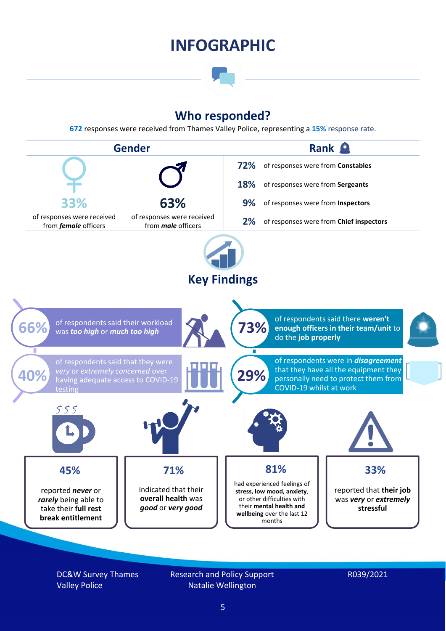### **INFOGRAPHIC**

### **Who responded?**

**672** responses were received from Thames Valley Police, representing a **15%** response rate.



DC&W Survey Thames Valley Police

Research and Policy Support Natalie Wellington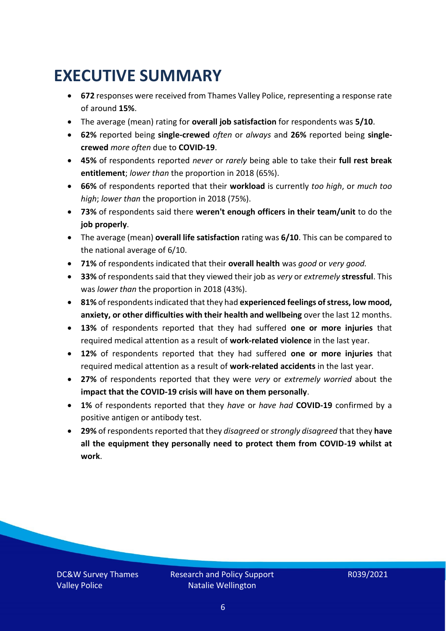### <span id="page-5-0"></span>**EXECUTIVE SUMMARY**

- **672** responses were received from Thames Valley Police, representing a response rate of around **15%**.
- The average (mean) rating for **overall job satisfaction** for respondents was **5/10**.
- **62%** reported being **single-crewed** *often* or *always* and **26%** reported being **singlecrewed** *more often* due to **COVID-19**.
- **45%** of respondents reported *never* or *rarely* being able to take their **full rest break entitlement**; *lower than* the proportion in 2018 (65%).
- **66%** of respondents reported that their **workload** is currently *too high*, or *much too high*; *lower than* the proportion in 2018 (75%).
- **73%** of respondents said there **weren't enough officers in their team/unit** to do the **job properly**.
- The average (mean) **overall life satisfaction** rating was **6/10**. This can be compared to the national average of 6/10.
- **71%** of respondents indicated that their **overall health** was *good* or *very good.*
- **33%** of respondents said that they viewed their job as *very* or *extremely* **stressful**. This was *lower than* the proportion in 2018 (43%).
- **81%** of respondents indicated that they had **experienced feelings of stress, low mood, anxiety, or other difficulties with their health and wellbeing** over the last 12 months.
- **13%** of respondents reported that they had suffered **one or more injuries** that required medical attention as a result of **work-related violence** in the last year.
- **12%** of respondents reported that they had suffered **one or more injuries** that required medical attention as a result of **work-related accidents** in the last year.
- **27%** of respondents reported that they were *very* or *extremely worried* about the **impact that the COVID-19 crisis will have on them personally**.
- **1%** of respondents reported that they *have* or *have had* **COVID-19** confirmed by a positive antigen or antibody test.
- **29%** of respondents reported that they *disagreed* or *strongly disagreed* that they **have all the equipment they personally need to protect them from COVID-19 whilst at work**.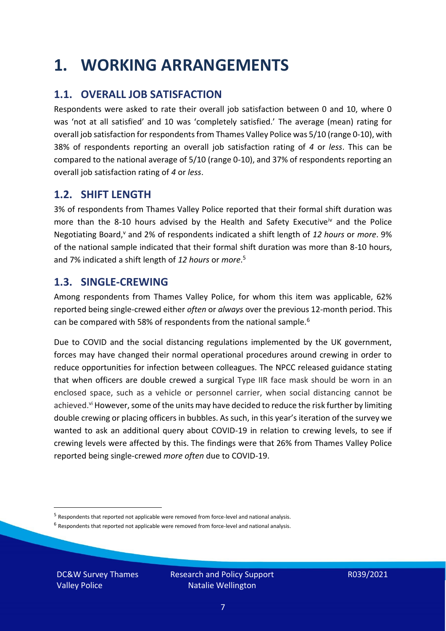### <span id="page-6-0"></span>**1. WORKING ARRANGEMENTS**

### **1.1. OVERALL JOB SATISFACTION**

Respondents were asked to rate their overall job satisfaction between 0 and 10, where 0 was 'not at all satisfied' and 10 was 'completely satisfied.' The average (mean) rating for overall job satisfaction for respondents from Thames Valley Police was 5/10 (range 0-10), with 38% of respondents reporting an overall job satisfaction rating of *4* or *less*. This can be compared to the national average of 5/10 (range 0-10), and 37% of respondents reporting an overall job satisfaction rating of *4* or *less*.

#### **1.2. SHIFT LENGTH**

3% of respondents from Thames Valley Police reported that their formal shift duration was more than the 8-10 hours advised by the Health and Safety Executive<sup>iv</sup> and the Police Negotiating Board,<sup>v</sup> and 2% of respondents indicated a shift length of 12 hours or *more*. 9% of the national sample indicated that their formal shift duration was more than 8-10 hours, and 7% indicated a shift length of *12 hours* or *more*. 5

#### **1.3. SINGLE-CREWING**

Among respondents from Thames Valley Police, for whom this item was applicable, 62% reported being single-crewed either *often* or *always* over the previous 12-month period. This can be compared with 58% of respondents from the national sample.<sup>6</sup>

Due to COVID and the social distancing regulations implemented by the UK government, forces may have changed their normal operational procedures around crewing in order to reduce opportunities for infection between colleagues. The NPCC released guidance stating that when officers are double crewed a surgical Type IIR face mask should be worn in an enclosed space, such as a vehicle or personnel carrier, when social distancing cannot be achieved.<sup>vi</sup> However, some of the units may have decided to reduce the risk further by limiting double crewing or placing officers in bubbles. As such, in this year's iteration of the survey we wanted to ask an additional query about COVID-19 in relation to crewing levels, to see if crewing levels were affected by this. The findings were that 26% from Thames Valley Police reported being single-crewed *more often* due to COVID-19.

 $<sup>6</sup>$  Respondents that reported not applicable were removed from force-level and national analysis.</sup>

DC&W Survey Thames Valley Police

<sup>&</sup>lt;sup>5</sup> Respondents that reported not applicable were removed from force-level and national analysis.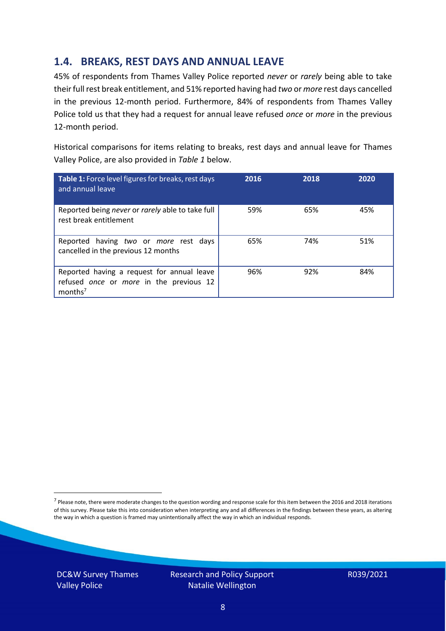### **1.4. BREAKS, REST DAYS AND ANNUAL LEAVE**

45% of respondents from Thames Valley Police reported *never* or *rarely* being able to take their full rest break entitlement, and 51% reported having had *two* or *more* rest days cancelled in the previous 12-month period. Furthermore, 84% of respondents from Thames Valley Police told us that they had a request for annual leave refused *once* or *more* in the previous 12-month period.

Historical comparisons for items relating to breaks, rest days and annual leave for Thames Valley Police, are also provided in *Table 1* below.

| Table 1: Force level figures for breaks, rest days<br>and annual leave                                       | 2016 | 2018 | 2020 |
|--------------------------------------------------------------------------------------------------------------|------|------|------|
| Reported being never or rarely able to take full<br>rest break entitlement                                   | 59%  | 65%  | 45%  |
| Reported having two or more rest days<br>cancelled in the previous 12 months                                 | 65%  | 74%  | 51%  |
| Reported having a request for annual leave<br>refused once or more in the previous 12<br>months <sup>7</sup> | 96%  | 92%  | 84%  |

DC&W Survey Thames Valley Police



<sup>&</sup>lt;sup>7</sup> Please note, there were moderate changes to the question wording and response scale for this item between the 2016 and 2018 iterations of this survey. Please take this into consideration when interpreting any and all differences in the findings between these years, as altering the way in which a question is framed may unintentionally affect the way in which an individual responds.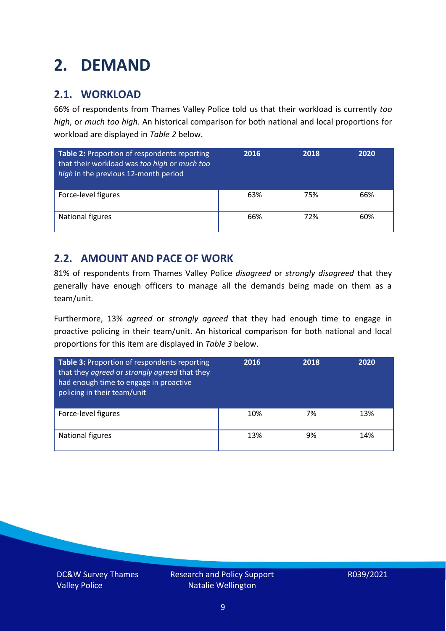### <span id="page-8-0"></span>**2. DEMAND**

### **2.1. WORKLOAD**

66% of respondents from Thames Valley Police told us that their workload is currently *too high*, or *much too high*. An historical comparison for both national and local proportions for workload are displayed in *Table 2* below.

| Table 2: Proportion of respondents reporting<br>that their workload was too high or much too<br>high in the previous 12-month period | 2016 | 2018 | 2020 |
|--------------------------------------------------------------------------------------------------------------------------------------|------|------|------|
| Force-level figures                                                                                                                  | 63%  | 75%  | 66%  |
| <b>National figures</b>                                                                                                              | 66%  | 72%  | 60%  |

### **2.2. AMOUNT AND PACE OF WORK**

81% of respondents from Thames Valley Police *disagreed* or *strongly disagreed* that they generally have enough officers to manage all the demands being made on them as a team/unit.

Furthermore, 13% *agreed* or *strongly agreed* that they had enough time to engage in proactive policing in their team/unit. An historical comparison for both national and local proportions for this item are displayed in *Table 3* below.

| <b>Table 3: Proportion of respondents reporting</b><br>that they agreed or strongly agreed that they<br>had enough time to engage in proactive<br>policing in their team/unit | 2016 | 2018 | 2020 |
|-------------------------------------------------------------------------------------------------------------------------------------------------------------------------------|------|------|------|
| Force-level figures                                                                                                                                                           | 10%  | 7%   | 13%  |
| <b>National figures</b>                                                                                                                                                       | 13%  | 9%   | 14%  |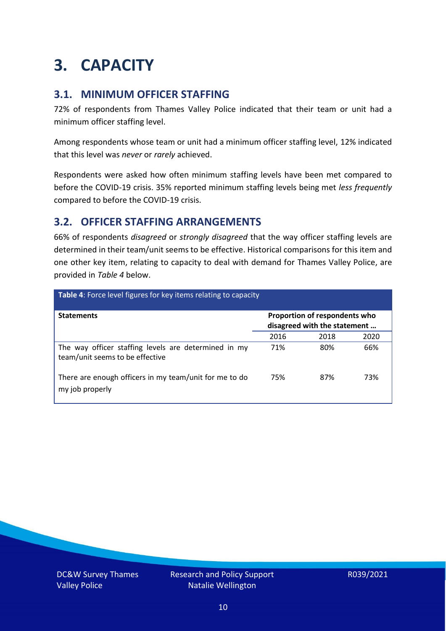### <span id="page-9-0"></span>**3. CAPACITY**

### **3.1. MINIMUM OFFICER STAFFING**

72% of respondents from Thames Valley Police indicated that their team or unit had a minimum officer staffing level.

Among respondents whose team or unit had a minimum officer staffing level, 12% indicated that this level was *never* or *rarely* achieved.

Respondents were asked how often minimum staffing levels have been met compared to before the COVID-19 crisis. 35% reported minimum staffing levels being met *less frequently* compared to before the COVID-19 crisis.

### **3.2. OFFICER STAFFING ARRANGEMENTS**

66% of respondents *disagreed* or *strongly disagreed* that the way officer staffing levels are determined in their team/unit seems to be effective. Historical comparisons for this item and one other key item, relating to capacity to deal with demand for Thames Valley Police, are provided in *Table 4* below.

| Table 4: Force level figures for key items relating to capacity                         |                                                               |      |      |
|-----------------------------------------------------------------------------------------|---------------------------------------------------------------|------|------|
| <b>Statements</b>                                                                       | Proportion of respondents who<br>disagreed with the statement |      |      |
|                                                                                         | 2016                                                          | 2018 | 2020 |
| The way officer staffing levels are determined in my<br>team/unit seems to be effective | 71%                                                           | 80%  | 66%  |
| There are enough officers in my team/unit for me to do<br>my job properly               | 75%                                                           | 87%  | 73%  |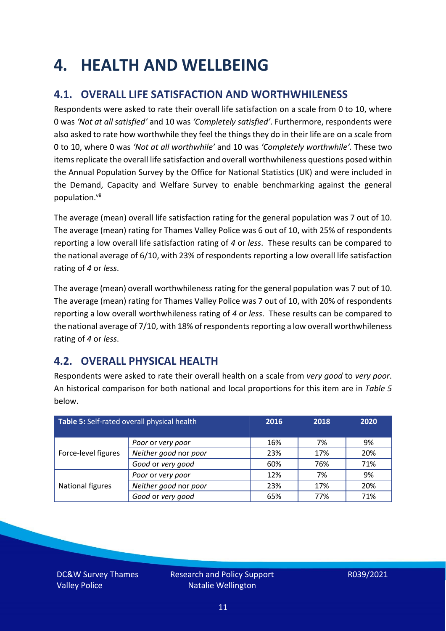### <span id="page-10-0"></span>**4. HEALTH AND WELLBEING**

### **4.1. OVERALL LIFE SATISFACTION AND WORTHWHILENESS**

Respondents were asked to rate their overall life satisfaction on a scale from 0 to 10, where 0 was *'Not at all satisfied'* and 10 was *'Completely satisfied'*. Furthermore, respondents were also asked to rate how worthwhile they feel the things they do in their life are on a scale from 0 to 10, where 0 was *'Not at all worthwhile'* and 10 was *'Completely worthwhile'.* These two items replicate the overall life satisfaction and overall worthwhileness questions posed within the Annual Population Survey by the Office for National Statistics (UK) and were included in the Demand, Capacity and Welfare Survey to enable benchmarking against the general population. vii

The average (mean) overall life satisfaction rating for the general population was 7 out of 10. The average (mean) rating for Thames Valley Police was 6 out of 10, with 25% of respondents reporting a low overall life satisfaction rating of *4* or *less*. These results can be compared to the national average of 6/10, with 23% of respondents reporting a low overall life satisfaction rating of *4* or *less*.

The average (mean) overall worthwhileness rating for the general population was 7 out of 10. The average (mean) rating for Thames Valley Police was 7 out of 10, with 20% of respondents reporting a low overall worthwhileness rating of *4* or *less*. These results can be compared to the national average of 7/10, with 18% of respondents reporting a low overall worthwhileness rating of *4* or *less*.

### **4.2. OVERALL PHYSICAL HEALTH**

Respondents were asked to rate their overall health on a scale from *very good* to *very poor*. An historical comparison for both national and local proportions for this item are in *Table 5* below.

| Table 5: Self-rated overall physical health |                       | 2016 | 2018 | 2020 |
|---------------------------------------------|-----------------------|------|------|------|
|                                             | Poor or very poor     | 16%  | 7%   | 9%   |
| Force-level figures                         | Neither good nor poor | 23%  | 17%  | 20%  |
|                                             | Good or very good     | 60%  | 76%  | 71%  |
|                                             | Poor or very poor     | 12%  | 7%   | 9%   |
| National figures                            | Neither good nor poor | 23%  | 17%  | 20%  |
|                                             | Good or very good     | 65%  | 77%  | 71%  |

DC&W Survey Thames Valley Police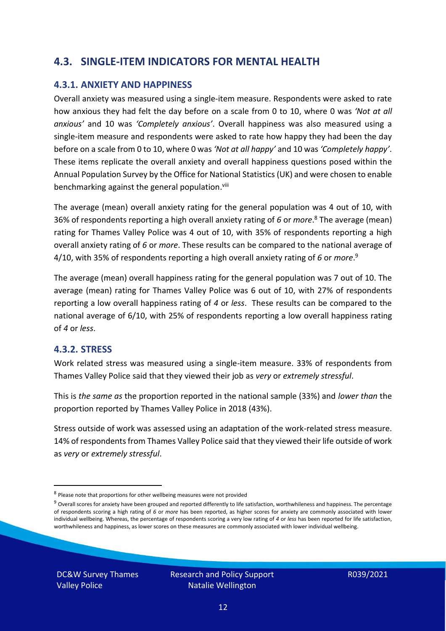### **4.3. SINGLE-ITEM INDICATORS FOR MENTAL HEALTH**

#### **4.3.1. ANXIETY AND HAPPINESS**

Overall anxiety was measured using a single-item measure. Respondents were asked to rate how anxious they had felt the day before on a scale from 0 to 10, where 0 was *'Not at all anxious'* and 10 was *'Completely anxious'*. Overall happiness was also measured using a single-item measure and respondents were asked to rate how happy they had been the day before on a scale from 0 to 10, where 0 was *'Not at all happy'* and 10 was *'Completely happy'*. These items replicate the overall anxiety and overall happiness questions posed within the Annual Population Survey by the Office for National Statistics (UK) and were chosen to enable benchmarking against the general population.<sup>viii</sup>

The average (mean) overall anxiety rating for the general population was 4 out of 10, with 36% of respondents reporting a high overall anxiety rating of *6* or *more*. <sup>8</sup> The average (mean) rating for Thames Valley Police was 4 out of 10, with 35% of respondents reporting a high overall anxiety rating of *6* or *more*. These results can be compared to the national average of 4/10, with 35% of respondents reporting a high overall anxiety rating of *6* or *more*. 9

The average (mean) overall happiness rating for the general population was 7 out of 10. The average (mean) rating for Thames Valley Police was 6 out of 10, with 27% of respondents reporting a low overall happiness rating of *4* or *less*. These results can be compared to the national average of 6/10, with 25% of respondents reporting a low overall happiness rating of *4* or *less*.

#### **4.3.2. STRESS**

Work related stress was measured using a single-item measure. 33% of respondents from Thames Valley Police said that they viewed their job as *very* or *extremely stressful*.

This is *the same as* the proportion reported in the national sample (33%) and *lower than* the proportion reported by Thames Valley Police in 2018 (43%).

Stress outside of work was assessed using an adaptation of the work-related stress measure. 14% of respondents from Thames Valley Police said that they viewed their life outside of work as *very* or *extremely stressful*.

<sup>&</sup>lt;sup>8</sup> Please note that proportions for other wellbeing measures were not provided

 $9$  Overall scores for anxiety have been grouped and reported differently to life satisfaction, worthwhileness and happiness. The percentage of respondents scoring a high rating of *6* or *more* has been reported, as higher scores for anxiety are commonly associated with lower individual wellbeing. Whereas, the percentage of respondents scoring a very low rating of *4* or *less* has been reported for life satisfaction, worthwhileness and happiness, as lower scores on these measures are commonly associated with lower individual wellbeing.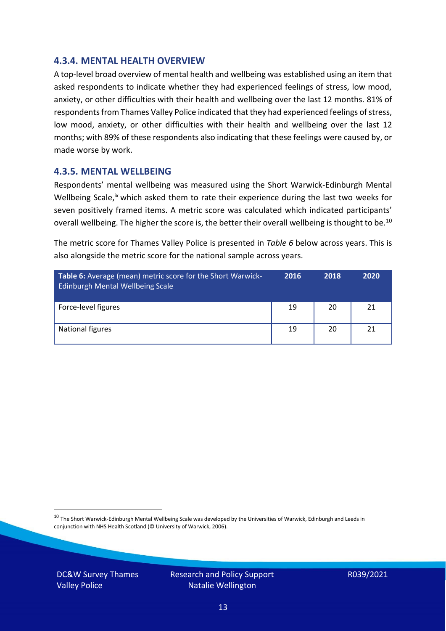#### **4.3.4. MENTAL HEALTH OVERVIEW**

A top-level broad overview of mental health and wellbeing was established using an item that asked respondents to indicate whether they had experienced feelings of stress, low mood, anxiety, or other difficulties with their health and wellbeing over the last 12 months. 81% of respondents from Thames Valley Police indicated that they had experienced feelings of stress, low mood, anxiety, or other difficulties with their health and wellbeing over the last 12 months; with 89% of these respondents also indicating that these feelings were caused by, or made worse by work.

#### **4.3.5. MENTAL WELLBEING**

Respondents' mental wellbeing was measured using the Short Warwick-Edinburgh Mental Wellbeing Scale,<sup>ix</sup> which asked them to rate their experience during the last two weeks for seven positively framed items. A metric score was calculated which indicated participants' overall wellbeing. The higher the score is, the better their overall wellbeing is thought to be.<sup>10</sup>

The metric score for Thames Valley Police is presented in *Table 6* below across years. This is also alongside the metric score for the national sample across years.

| <b>Table 6:</b> Average (mean) metric score for the Short Warwick-<br>Edinburgh Mental Wellbeing Scale | 2016 | 2018 | 2020 |
|--------------------------------------------------------------------------------------------------------|------|------|------|
| Force-level figures                                                                                    | 19   | 20   | 21   |
| National figures                                                                                       | 19   | 20   | 21   |

 $10$  The Short Warwick-Edinburgh Mental Wellbeing Scale was developed by the Universities of Warwick, Edinburgh and Leeds in conjunction with NHS Health Scotland (© University of Warwick, 2006).

DC&W Survey Thames Valley Police

Research and Policy Support Natalie Wellington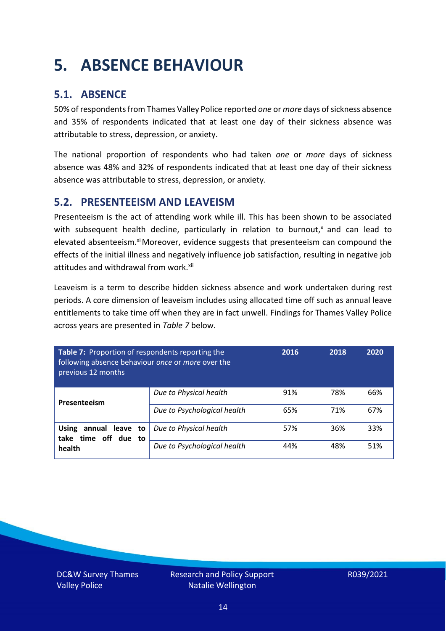### <span id="page-13-0"></span>**5. ABSENCE BEHAVIOUR**

### **5.1. ABSENCE**

50% of respondents from Thames Valley Police reported *one* or *more* days of sickness absence and 35% of respondents indicated that at least one day of their sickness absence was attributable to stress, depression, or anxiety.

The national proportion of respondents who had taken *one* or *more* days of sickness absence was 48% and 32% of respondents indicated that at least one day of their sickness absence was attributable to stress, depression, or anxiety.

#### **5.2. PRESENTEEISM AND LEAVEISM**

Presenteeism is the act of attending work while ill. This has been shown to be associated with subsequent health decline, particularly in relation to burnout, $x$  and can lead to elevated absenteeism.<sup>xi</sup> Moreover, evidence suggests that presenteeism can compound the effects of the initial illness and negatively influence job satisfaction, resulting in negative job attitudes and withdrawal from work.<sup>xii</sup>

Leaveism is a term to describe hidden sickness absence and work undertaken during rest periods. A core dimension of leaveism includes using allocated time off such as annual leave entitlements to take time off when they are in fact unwell. Findings for Thames Valley Police across years are presented in *Table 7* below.

| Table 7: Proportion of respondents reporting the<br>following absence behaviour once or more over the<br>previous 12 months |                             | 2016 | 2018 | 2020 |
|-----------------------------------------------------------------------------------------------------------------------------|-----------------------------|------|------|------|
| Presenteeism                                                                                                                | Due to Physical health      | 91%  | 78%  | 66%  |
|                                                                                                                             | Due to Psychological health | 65%  | 71%  | 67%  |
| annual leave to<br><b>Using</b><br>time off due to<br>take<br>health                                                        | Due to Physical health      | 57%  | 36%  | 33%  |
|                                                                                                                             | Due to Psychological health | 44%  | 48%  | 51%  |

DC&W Survey Thames Valley Police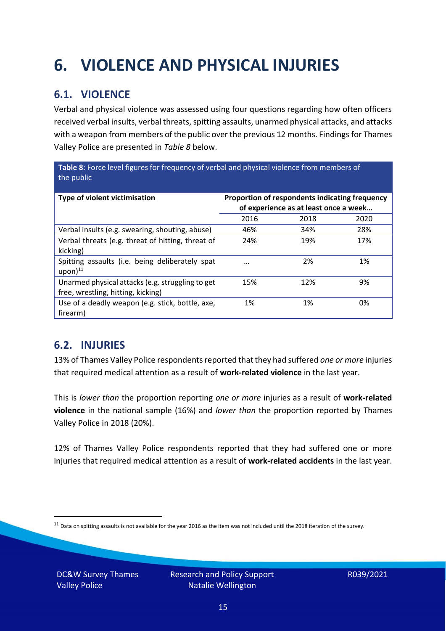## <span id="page-14-0"></span>**6. VIOLENCE AND PHYSICAL INJURIES**

### **6.1. VIOLENCE**

Verbal and physical violence was assessed using four questions regarding how often officers received verbal insults, verbal threats, spitting assaults, unarmed physical attacks, and attacks with a weapon from members of the public over the previous 12 months. Findings for Thames Valley Police are presented in *Table 8* below.

**Table 8**: Force level figures for frequency of verbal and physical violence from members of the public

| Type of violent victimisation                                                          | Proportion of respondents indicating frequency<br>of experience as at least once a week |      |      |
|----------------------------------------------------------------------------------------|-----------------------------------------------------------------------------------------|------|------|
|                                                                                        | 2016                                                                                    | 2018 | 2020 |
| Verbal insults (e.g. swearing, shouting, abuse)                                        | 46%                                                                                     | 34%  | 28%  |
| Verbal threats (e.g. threat of hitting, threat of<br>kicking)                          | 24%                                                                                     | 19%  | 17%  |
| Spitting assaults (i.e. being deliberately spat<br>$upon)$ <sup>11</sup>               |                                                                                         | 2%   | 1%   |
| Unarmed physical attacks (e.g. struggling to get<br>free, wrestling, hitting, kicking) | 15%                                                                                     | 12%  | 9%   |
| Use of a deadly weapon (e.g. stick, bottle, axe,<br>firearm)                           | 1%                                                                                      | 1%   | 0%   |

### **6.2. INJURIES**

13% of Thames Valley Police respondents reported that they had suffered *one or more* injuries that required medical attention as a result of **work-related violence** in the last year.

This is *lower than* the proportion reporting *one or more* injuries as a result of **work-related violence** in the national sample (16%) and *lower than* the proportion reported by Thames Valley Police in 2018 (20%).

12% of Thames Valley Police respondents reported that they had suffered one or more injuries that required medical attention as a result of **work-related accidents** in the last year.

 $11$  Data on spitting assaults is not available for the year 2016 as the item was not included until the 2018 iteration of the survey.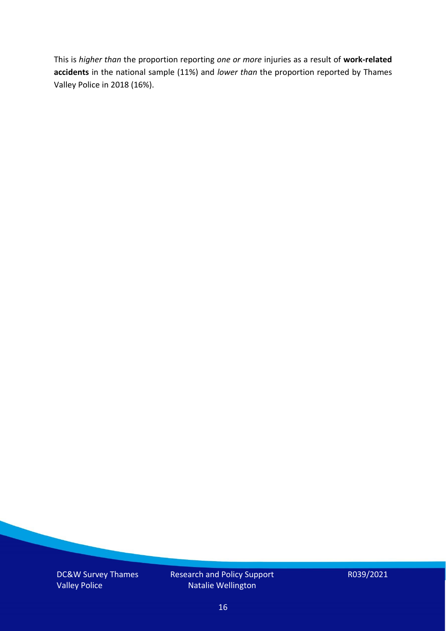This is *higher than* the proportion reporting *one or more* injuries as a result of **work-related accidents** in the national sample (11%) and *lower than* the proportion reported by Thames Valley Police in 2018 (16%).

DC&W Survey Thames Valley Police

Research and Policy Support Natalie Wellington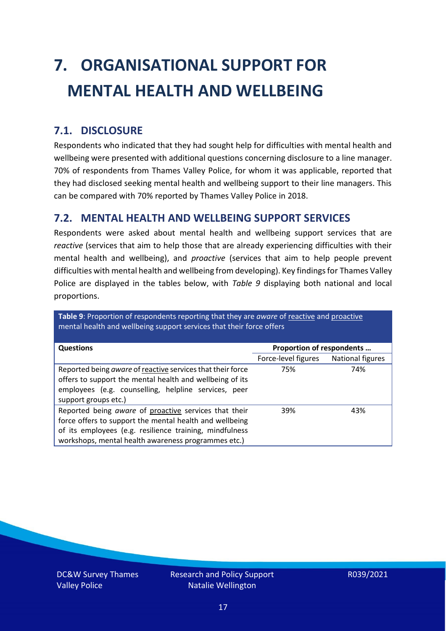# <span id="page-16-0"></span>**7. ORGANISATIONAL SUPPORT FOR MENTAL HEALTH AND WELLBEING**

### **7.1. DISCLOSURE**

Respondents who indicated that they had sought help for difficulties with mental health and wellbeing were presented with additional questions concerning disclosure to a line manager. 70% of respondents from Thames Valley Police, for whom it was applicable, reported that they had disclosed seeking mental health and wellbeing support to their line managers. This can be compared with 70% reported by Thames Valley Police in 2018.

#### **7.2. MENTAL HEALTH AND WELLBEING SUPPORT SERVICES**

Respondents were asked about mental health and wellbeing support services that are *reactive* (services that aim to help those that are already experiencing difficulties with their mental health and wellbeing), and *proactive* (services that aim to help people prevent difficulties with mental health and wellbeing from developing). Key findings for Thames Valley Police are displayed in the tables below, with *Table 9* displaying both national and local proportions.

**Table 9**: Proportion of respondents reporting that they are *aware* of reactive and proactive mental health and wellbeing support services that their force offers

| <b>Questions</b>                                                                                                                                                                                                                   | Proportion of respondents |                  |
|------------------------------------------------------------------------------------------------------------------------------------------------------------------------------------------------------------------------------------|---------------------------|------------------|
|                                                                                                                                                                                                                                    | Force-level figures       | National figures |
| Reported being aware of reactive services that their force<br>offers to support the mental health and wellbeing of its<br>employees (e.g. counselling, helpline services, peer<br>support groups etc.)                             | 75%                       | 74%              |
| Reported being aware of proactive services that their<br>force offers to support the mental health and wellbeing<br>of its employees (e.g. resilience training, mindfulness<br>workshops, mental health awareness programmes etc.) | 39%                       | 43%              |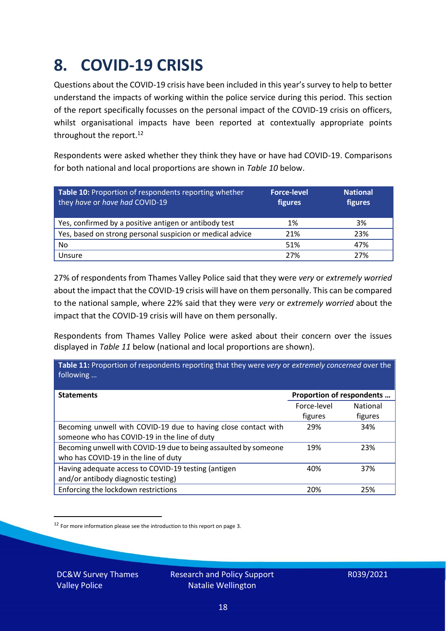### <span id="page-17-0"></span>**8. COVID-19 CRISIS**

Questions about the COVID-19 crisis have been included in this year's survey to help to better understand the impacts of working within the police service during this period. This section of the report specifically focusses on the personal impact of the COVID-19 crisis on officers, whilst organisational impacts have been reported at contextually appropriate points throughout the report.<sup>12</sup>

Respondents were asked whether they think they have or have had COVID-19. Comparisons for both national and local proportions are shown in *Table 10* below.

| Table 10: Proportion of respondents reporting whether<br>they have or have had COVID-19 | <b>Force-level</b><br>figures | <b>National</b><br>figures |
|-----------------------------------------------------------------------------------------|-------------------------------|----------------------------|
| Yes, confirmed by a positive antigen or antibody test                                   | 1%                            | 3%                         |
| Yes, based on strong personal suspicion or medical advice                               | 21%                           | 23%                        |
| No                                                                                      | 51%                           | 47%                        |
| Unsure                                                                                  | 27%                           | 27%                        |

27% of respondents from Thames Valley Police said that they were *very* or *extremely worried* about the impact that the COVID-19 crisis will have on them personally. This can be compared to the national sample, where 22% said that they were *very* or *extremely worried* about the impact that the COVID-19 crisis will have on them personally.

Respondents from Thames Valley Police were asked about their concern over the issues displayed in *Table 11* below (national and local proportions are shown).

| Table 11: Proportion of respondents reporting that they were very or extremely concerned over the<br>following |                           |                            |
|----------------------------------------------------------------------------------------------------------------|---------------------------|----------------------------|
| <b>Statements</b>                                                                                              | Proportion of respondents |                            |
|                                                                                                                | Force-level<br>figures    | <b>National</b><br>figures |
| Becoming unwell with COVID-19 due to having close contact with<br>someone who has COVID-19 in the line of duty | 29%                       | 34%                        |
| Becoming unwell with COVID-19 due to being assaulted by someone<br>who has COVID-19 in the line of duty        | 19%                       | 23%                        |
| Having adequate access to COVID-19 testing (antigen<br>and/or antibody diagnostic testing)                     | 40%                       | 37%                        |
| Enforcing the lockdown restrictions                                                                            | 20%                       | 25%                        |

<sup>12</sup> For more information please see the introduction to this report on page 3.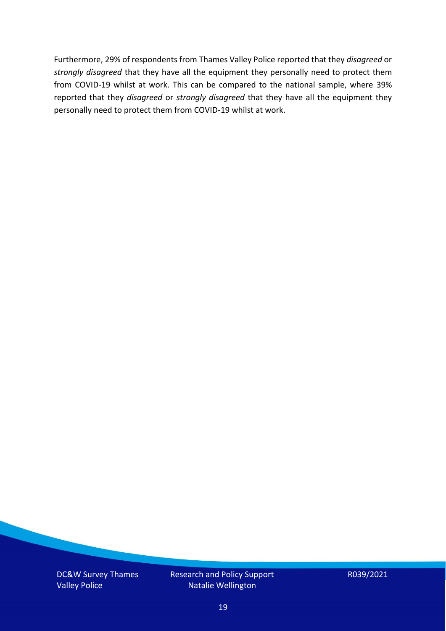Furthermore, 29% of respondents from Thames Valley Police reported that they *disagreed* or *strongly disagreed* that they have all the equipment they personally need to protect them from COVID-19 whilst at work. This can be compared to the national sample, where 39% reported that they *disagreed* or *strongly disagreed* that they have all the equipment they personally need to protect them from COVID-19 whilst at work.

DC&W Survey Thames Valley Police

Research and Policy Support Natalie Wellington